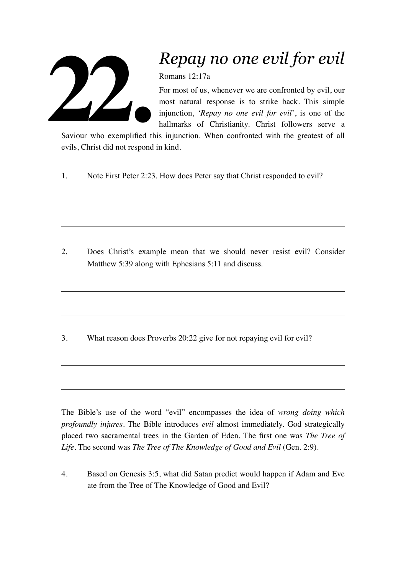

## *Repay no one evil for evil*

Romans 12:17a

For most of us, whenever we are confronted by evil, our most natural response is to strike back. This simple injunction, *'Repay no one evil for evil*', is one of the hallmarks of Christianity. Christ followers serve a

Saviour who exemplified this injunction. When confronted with the greatest of all evils, Christ did not respond in kind.

1. Note First Peter 2:23. How does Peter say that Christ responded to evil?

2. Does Christ's example mean that we should never resist evil? Consider Matthew 5:39 along with Ephesians 5:11 and discuss.

3. What reason does Proverbs 20:22 give for not repaying evil for evil?

The Bible's use of the word "evil" encompasses the idea of *wrong doing which profoundly injures*. The Bible introduces *evil* almost immediately. God strategically placed two sacramental trees in the Garden of Eden. The first one was *The Tree of Life*. The second was *The Tree of The Knowledge of Good and Evil* (Gen. 2:9).

4. Based on Genesis 3:5, what did Satan predict would happen if Adam and Eve ate from the Tree of The Knowledge of Good and Evil?